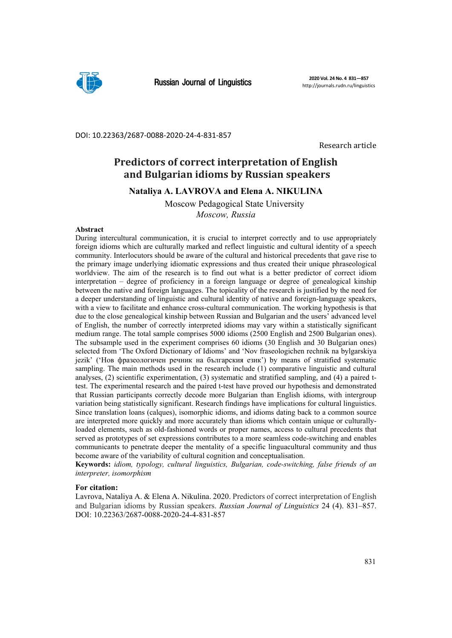

### DOI: 10.22363/2687‐0088‐2020‐24‐4‐831‐857

Research article

# **Predictors of correct interpretation of English and Bulgarian idioms by Russian speakers**

**Nataliya A. LAVROVA and Elena A. NIKULINA** 

Moscow Pedagogical State University *Moscow, Russia* 

#### **Abstract**

During intercultural communication, it is crucial to interpret correctly and to use appropriately foreign idioms which are culturally marked and reflect linguistic and cultural identity of a speech community. Interlocutors should be aware of the cultural and historical precedents that gave rise to the primary image underlying idiomatic expressions and thus created their unique phraseological worldview. The aim of the research is to find out what is a better predictor of correct idiom interpretation – degree of proficiency in a foreign language or degree of genealogical kinship between the native and foreign languages. The topicality of the research is justified by the need for a deeper understanding of linguistic and cultural identity of native and foreign-language speakers, with a view to facilitate and enhance cross-cultural communication. The working hypothesis is that due to the close genealogical kinship between Russian and Bulgarian and the users' advanced level of English, the number of correctly interpreted idioms may vary within a statistically significant medium range. The total sample comprises 5000 idioms (2500 English and 2500 Bulgarian ones). The subsample used in the experiment comprises 60 idioms (30 English and 30 Bulgarian ones) selected from 'The Oxford Dictionary of Idioms' and 'Nov fraseologichen rechnik na bylgarskiya jezik' ('Нов фразеологичен речник на българския език') by means of stratified systematic sampling. The main methods used in the research include (1) comparative linguistic and cultural analyses, (2) scientific experimentation, (3) systematic and stratified sampling, and (4) a paired ttest. The experimental research and the paired t-test have proved our hypothesis and demonstrated that Russian participants correctly decode more Bulgarian than English idioms, with intergroup variation being statistically significant. Research findings have implications for cultural linguistics. Since translation loans (calques), isomorphic idioms, and idioms dating back to a common source are interpreted more quickly and more accurately than idioms which contain unique or culturallyloaded elements, such as old-fashioned words or proper names, access to cultural precedents that served as prototypes of set expressions contributes to a more seamless code-switching and enables communicants to penetrate deeper the mentality of a specific linguacultural community and thus become aware of the variability of cultural cognition and conceptualisation.

**Keywords:** *idiom, typology, cultural linguistics, Bulgarian, code-switching, false friends of an interpreter, isomorphism*

## **For citation:**

Lavrova, Nataliya A. & Elena A. Nikulina. 2020. Predictors of correct interpretation of English and Bulgarian idioms by Russian speakers. *Russian Journal of Linguistics* 24 (4). 831–857. DOI: 10.22363/2687-0088-2020-24-4-831-857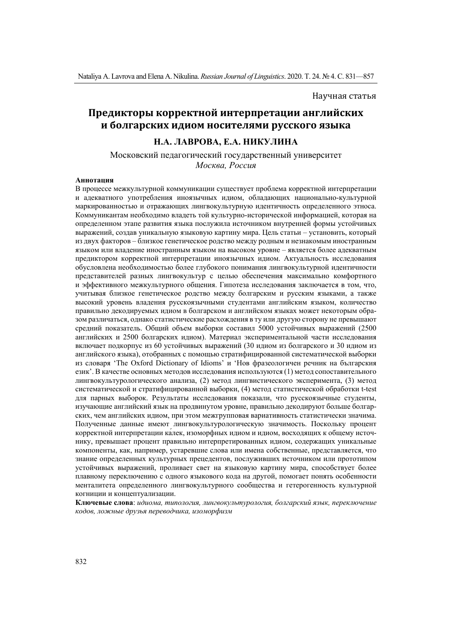## Научная статья

# Предикторы корректной интерпретации английских **и болгарских идиом носителями русского языка**

# **Н.А. ЛАВРОВА, Е.А. НИКУЛИНА**

Московский педагогический государственный университет *Москва, Россия*

#### **Аннотация**

В процессе межкультурной коммуникации существует проблема корректной интерпретации и адекватного употребления иноязычных идиом, обладающих национально-культурной маркированностью и отражающих лингвокультурную идентичность определенного этноса. Коммуникантам необходимо владеть той культурно-исторической информацией, которая на определенном этапе развития языка послужила источником внутренней формы устойчивых выражений, создав уникальную языковую картину мира. Цель статьи – установить, который из двух факторов – близкое генетическое родство между родным и незнакомым иностранным языком или владение иностранным языком на высоком уровне – является более адекватным предиктором корректной интерпретации иноязычных идиом. Актуальность исследования обусловлена необходимостью более глубокого понимания лингвокультурной идентичности представителей разных лингвокультур с целью обеспечения максимально комфортного и эффективного межкультурного общения. Гипотеза исследования заключается в том, что, учитывая близкое генетическое родство между болгарским и русским языками, а также высокий уровень владения русскоязычными студентами английским языком, количество правильно декодируемых идиом в болгарском и английском языках может некоторым образом различаться, однако статистические расхождения в ту или другую сторону не превышают средний показатель. Общий объем выборки составил 5000 устойчивых выражений (2500 английских и 2500 болгарских идиом). Материал экспериментальной части исследования включает подкорпус из 60 устойчивых выражений (30 идиом из болгарского и 30 идиом из английского языка), отобранных с помощью стратифицированной систематической выборки из словаря 'The Oxford Dictionary of Idioms' и 'Нов фразеологичен речник на българския език'. В качестве основных методов исследования используются (1) метод сопоставительного лингвокультурологического анализа, (2) метод лингвистического эксперимента, (3) метод систематической и стратифицированной выборки, (4) метод статистической обработки t-test для парных выборок. Результаты исследования показали, что русскоязычные студенты, изучающие английский язык на продвинутом уровне, правильно декодируют больше болгарских, чем английских идиом, при этом межгрупповая вариативность статистически значима. Полученные данные имеют лингвокультурологическую значимость. Поскольку процент корректной интерпретации ка́лек, изоморфных идиом и идиом, восходящих к общему источнику, превышает процент правильно интерпретированных идиом, содержащих уникальные компоненты, как, например, устаревшие слова или имена собственные, представляется, что знание определенных культурных прецедентов, послуживших источником или прототипом устойчивых выражений, проливает свет на языковую картину мира, способствует более плавному переключению с одного языкового кода на другой, помогает понять особенности менталитета определенного лингвокультурного сообщества и гетерогенность культурной когниции и концептуализации.

**Ключевые слова**: *идиома, типология, лингвокультурология, болгарский язык, переключение кодов, ложные друзья переводчика, изоморфизм*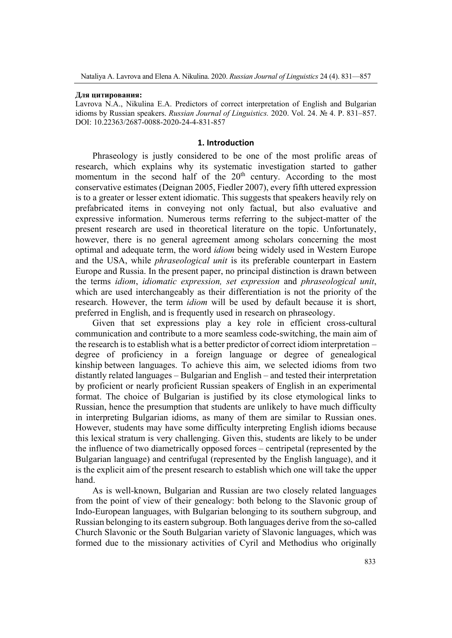### **Для цитирования:**

Lavrova N.A., Nikulina E.A. Predictors of correct interpretation of English and Bulgarian idioms by Russian speakers. *Russian Journal of Linguistics.* 2020. Vol. 24. № 4. Р. 831–857. DOI: 10.22363/2687-0088-2020-24-4-831-857

## **1. Introduction**

Phraseology is justly considered to be one of the most prolific areas of research, which explains why its systematic investigation started to gather momentum in the second half of the 20<sup>th</sup> century. According to the most conservative estimates (Deignan 2005, Fiedler 2007), every fifth uttered expression is to a greater or lesser extent idiomatic. This suggests that speakers heavily rely on prefabricated items in conveying not only factual, but also evaluative and expressive information. Numerous terms referring to the subject-matter of the present research are used in theoretical literature on the topic. Unfortunately, however, there is no general agreement among scholars concerning the most optimal and adequate term, the word *idiom* being widely used in Western Europe and the USA, while *phraseological unit* is its preferable counterpart in Eastern Europe and Russia. In the present paper, no principal distinction is drawn between the terms *idiom*, *idiomatic expression, set expression* and *phraseological unit*, which are used interchangeably as their differentiation is not the priority of the research. However, the term *idiom* will be used by default because it is short, preferred in English, and is frequently used in research on phraseology.

Given that set expressions play a key role in efficient cross-cultural communication and contribute to a more seamless code-switching, the main aim of the research is to establish what is a better predictor of correct idiom interpretation – degree of proficiency in a foreign language or degree of genealogical kinship between languages. To achieve this aim, we selected idioms from two distantly related languages – Bulgarian and English – and tested their interpretation by proficient or nearly proficient Russian speakers of English in an experimental format. The choice of Bulgarian is justified by its close etymological links to Russian, hence the presumption that students are unlikely to have much difficulty in interpreting Bulgarian idioms, as many of them are similar to Russian ones. However, students may have some difficulty interpreting English idioms because this lexical stratum is very challenging. Given this, students are likely to be under the influence of two diametrically opposed forces – centripetal (represented by the Bulgarian language) and centrifugal (represented by the English language), and it is the explicit aim of the present research to establish which one will take the upper hand.

As is well-known, Bulgarian and Russian are two closely related languages from the point of view of their genealogy: both belong to the Slavonic group of Indo-European languages, with Bulgarian belonging to its southern subgroup, and Russian belonging to its eastern subgroup. Both languages derive from the so-called Church Slavonic or the South Bulgarian variety of Slavonic languages, which was formed due to the missionary activities of Cyril and Methodius who originally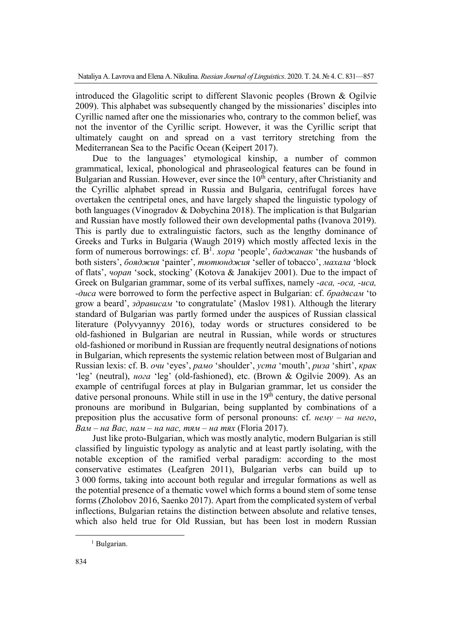introduced the Glagolitic script to different Slavonic peoples (Brown & Ogilvie 2009). This alphabet was subsequently changed by the missionaries' disciples into Cyrillic named after one the missionaries who, contrary to the common belief, was not the inventor of the Cyrillic script. However, it was the Cyrillic script that ultimately caught on and spread on a vast territory stretching from the Mediterranean Sea to the Pacific Ocean (Keipert 2017).

Due to the languages' etymological kinship, a number of common grammatical, lexical, phonological and phraseological features can be found in Bulgarian and Russian. However, ever since the  $10<sup>th</sup>$  century, after Christianity and the Cyrillic alphabet spread in Russia and Bulgaria, centrifugal forces have overtaken the centripetal ones, and have largely shaped the linguistic typology of both languages (Vinogradov & Dobychina 2018). The implication is that Bulgarian and Russian have mostly followed their own developmental paths (Ivanova 2019). This is partly due to extralinguistic factors, such as the lengthy dominance of Greeks and Turks in Bulgaria (Waugh 2019) which mostly affected lexis in the form of numerous borrowings: cf. B1 . *хора* 'people', *баджанак* 'the husbands of both sisters', *бояджия* 'painter', *тютюнджия* 'seller of tobacco', *махала* 'block of flats', *чорап* 'sock, stocking' (Kotova & Janakijev 2001). Due to the impact of Greek on Bulgarian grammar, some of its verbal suffixes, namely *-аса, -оса, -иса, -диса* were borrowed to form the perfective aspect in Bulgarian: cf. *брадясам* 'to grow a beard', *здрависам* 'to congratulate' (Maslov 1981). Although the literary standard of Bulgarian was partly formed under the auspices of Russian classical literature (Polyvyannyy 2016), today words or structures considered to be old-fashioned in Bulgarian are neutral in Russian, while words or structures old-fashioned or moribund in Russian are frequently neutral designations of notions in Bulgarian, which represents the systemic relation between most of Bulgarian and Russian lexis: cf. B. *очи* 'eyes', *рамо* 'shoulder', *уста* 'mouth', *риза* 'shirt', *крак* 'leg' (neutral), *нога* 'leg' (old-fashioned), etc. (Brown & Ogilvie 2009). As an example of centrifugal forces at play in Bulgarian grammar, let us consider the dative personal pronouns. While still in use in the  $19<sup>th</sup>$  century, the dative personal pronouns are moribund in Bulgarian, being supplanted by combinations of a preposition plus the accusative form of personal pronouns: cf. *нему – на него*, *Вам – на Вас, нам – на нас, тям – на тях* (Floria 2017).

Just like proto-Bulgarian, which was mostly analytic, modern Bulgarian is still classified by linguistic typology as analytic and at least partly isolating, with the notable exception of the ramified verbal paradigm: according to the most conservative estimates (Leafgren 2011), Bulgarian verbs can build up to 3 000 forms, taking into account both regular and irregular formations as well as the potential presence of a thematic vowel which forms a bound stem of some tense forms (Zholobov 2016, Saenko 2017). Apart from the complicated system of verbal inflections, Bulgarian retains the distinction between absolute and relative tenses, which also held true for Old Russian, but has been lost in modern Russian

 <sup>1</sup> Bulgarian.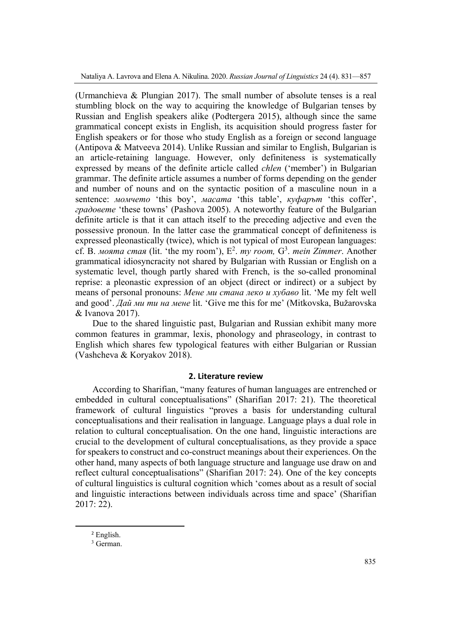(Urmanchieva & Plungian 2017). The small number of absolute tenses is a real stumbling block on the way to acquiring the knowledge of Bulgarian tenses by Russian and English speakers alike (Podtergera 2015), although since the same grammatical concept exists in English, its acquisition should progress faster for English speakers or for those who study English as a foreign or second language (Antipova & Matveeva 2014). Unlike Russian and similar to English, Bulgarian is an article-retaining language. However, only definiteness is systematically expressed by means of the definite article called *chlen* ('member') in Bulgarian grammar. The definite article assumes a number of forms depending on the gender and number of nouns and on the syntactic position of a masculine noun in a sentence: *момчето* 'this boy', *масата* 'this table', *куфарът* 'this coffer', *градовете* 'these towns' (Pashova 2005). A noteworthy feature of the Bulgarian definite article is that it can attach itself to the preceding adjective and even the possessive pronoun. In the latter case the grammatical concept of definiteness is expressed pleonastically (twice), which is not typical of most European languages: cf. В. *моята стая* (lit. 'the my room'),  $E^2$ . *my room*,  $G^3$ . *mein Zimmer*. Another grammatical idiosyncracity not shared by Bulgarian with Russian or English on a systematic level, though partly shared with French, is the so-called pronominal reprise: a pleonastic expression of an object (direct or indirect) or a subject by means of personal pronouns: *Мене ми стана леко и хубаво* lit. 'Me my felt well and good'. *Дай ми ти на мене* lit. 'Give me this for me' (Mitkovska, Bužarovska & Ivanova 2017).

Due to the shared linguistic past, Bulgarian and Russian exhibit many more common features in grammar, lexis, phonology and phraseology, in contrast to English which shares few typological features with either Bulgarian or Russian (Vashcheva & Koryakov 2018).

# **2. Literature review**

According to Sharifian, "many features of human languages are entrenched or embedded in cultural conceptualisations" (Sharifian 2017: 21). The theoretical framework of cultural linguistics "proves a basis for understanding cultural conceptualisations and their realisation in language. Language plays a dual role in relation to cultural conceptualisation. On the one hand, linguistic interactions are crucial to the development of cultural conceptualisations, as they provide a space for speakers to construct and co-construct meanings about their experiences. On the other hand, many aspects of both language structure and language use draw on and reflect cultural conceptualisations" (Sharifian 2017: 24). One of the key concepts of cultural linguistics is cultural cognition which 'comes about as a result of social and linguistic interactions between individuals across time and space' (Sharifian 2017: 22).

<sup>2</sup> English.

<sup>3</sup> German.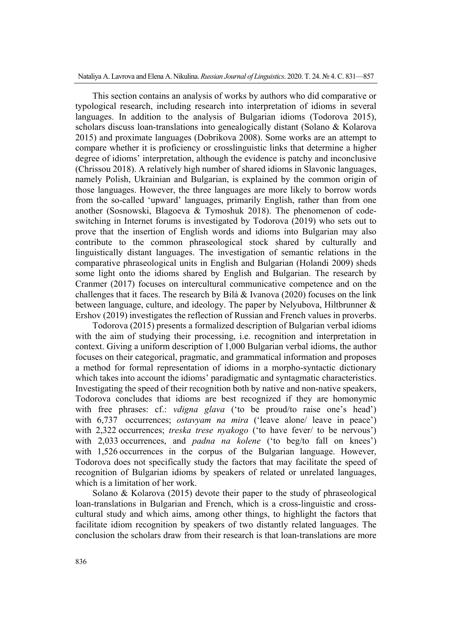This section contains an analysis of works by authors who did comparative or typological research, including research into interpretation of idioms in several languages. In addition to the analysis of Bulgarian idioms (Todorova 2015), scholars discuss loan-translations into genealogically distant (Solano & Kolarova 2015) and proximate languages (Dobrikova 2008). Some works are an attempt to compare whether it is proficiency or crosslinguistic links that determine a higher degree of idioms' interpretation, although the evidence is patchy and inconclusive (Chrissou 2018). A relatively high number of shared idioms in Slavonic languages, namely Polish, Ukrainian and Bulgarian, is explained by the common origin of those languages. However, the three languages are more likely to borrow words from the so-called 'upward' languages, primarily English, rather than from one another (Sosnowski, Blagoeva & Tymoshuk 2018). The phenomenon of codeswitching in Internet forums is investigated by Todorova (2019) who sets out to prove that the insertion of English words and idioms into Bulgarian may also contribute to the common phraseological stock shared by culturally and linguistically distant languages. The investigation of semantic relations in the comparative phraseological units in English and Bulgarian (Holandi 2009) sheds some light onto the idioms shared by English and Bulgarian. The research by Cranmer (2017) focuses on intercultural communicative competence and on the challenges that it faces. The research by Bilá & Ivanova (2020) focuses on the link between language, culture, and ideology. The paper by Nelyubova, Hiltbrunner & Ershov (2019) investigates the reflection of Russian and French values in proverbs.

Todorova (2015) presents a formalized description of Bulgarian verbal idioms with the aim of studying their processing, i.e. recognition and interpretation in context. Giving a uniform description of 1,000 Bulgarian verbal idioms, the author focuses on their categorical, pragmatic, and grammatical information and proposes a method for formal representation of idioms in a morpho-syntactic dictionary which takes into account the idioms' paradigmatic and syntagmatic characteristics. Investigating the speed of their recognition both by native and non-native speakers, Todorova concludes that idioms are best recognized if they are homonymic with free phrases: cf.: *vdigna glava* ('to be proud/to raise one's head') with 6,737 occurrences; *ostavyam na mira* ('leave alone/ leave in peace') with 2,322 occurrences; *treska trese nyakogo* ('to have fever/ to be nervous') with 2,033 occurrences, and *padna na kolene* ('to beg/to fall on knees') with 1,526 occurrences in the corpus of the Bulgarian language. However, Todorova does not specifically study the factors that may facilitate the speed of recognition of Bulgarian idioms by speakers of related or unrelated languages, which is a limitation of her work.

Solano & Kolarova (2015) devote their paper to the study of phraseological loan-translations in Bulgarian and French, which is a cross-linguistic and crosscultural study and which aims, among other things, to highlight the factors that facilitate idiom recognition by speakers of two distantly related languages. The conclusion the scholars draw from their research is that loan-translations are more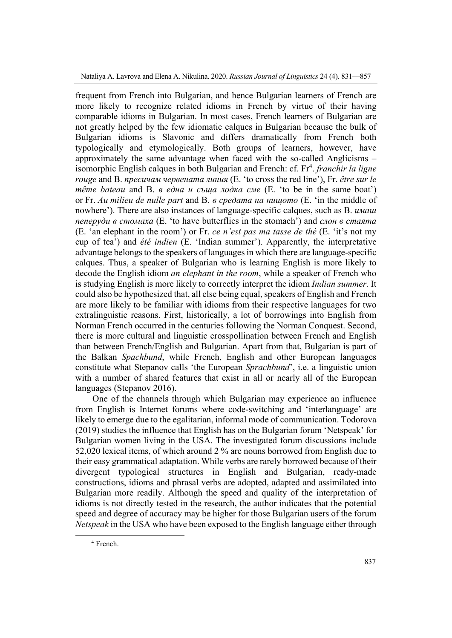frequent from French into Bulgarian, and hence Bulgarian learners of French are more likely to recognize related idioms in French by virtue of their having comparable idioms in Bulgarian. In most cases, French learners of Bulgarian are not greatly helped by the few idiomatic calques in Bulgarian because the bulk of Bulgarian idioms is Slavonic and differs dramatically from French both typologically and etymologically. Both groups of learners, however, have approximately the same advantage when faced with the so-called Anglicisms – isomorphic English calques in both Bulgarian and French: cf. Fr<sup>4</sup>. *franchir la ligne rouge* and B. *пресичам червената линия* (E. 'to cross the red line'), Fr. *être sur le même bateau* and B. *в една и съща лодка сме* (E. 'to be in the same boat') or Fr. *Au milieu de nulle part* and B. *в средата на нищото* (E. 'in the middle of nowhere'). There are also instances of language-specific calques, such as B. *имаш пеперуди в стомаха* (E. 'to have butterflies in the stomach') and *слон в стаята* (E. 'an elephant in the room') or Fr. *ce n'est pas ma tasse de thé* (E. 'it's not my cup of tea') and *été indien* (E. 'Indian summer'). Apparently, the interpretative advantage belongs to the speakers of languages in which there are language-specific calques. Thus, a speaker of Bulgarian who is learning English is more likely to decode the English idiom *an elephant in the room*, while a speaker of French who is studying English is more likely to correctly interpret the idiom *Indian summer.* It could also be hypothesized that, all else being equal, speakers of English and French are more likely to be familiar with idioms from their respective languages for two extralinguistic reasons. First, historically, a lot of borrowings into English from Norman French occurred in the centuries following the Norman Conquest. Second, there is more cultural and linguistic crosspollination between French and English than between French/English and Bulgarian. Apart from that, Bulgarian is part of the Balkan *Spachbund*, while French, English and other European languages constitute what Stepanov calls 'the European *Sprachbund*', i.e. a linguistic union with a number of shared features that exist in all or nearly all of the European languages (Stepanov 2016).

One of the channels through which Bulgarian may experience an influence from English is Internet forums where code-switching and 'interlanguage' are likely to emerge due to the egalitarian, informal mode of communication. Todorova (2019) studies the influence that English has on the Bulgarian forum 'Netspeak' for Bulgarian women living in the USA. The investigated forum discussions include 52,020 lexical items, of which around 2 % are nouns borrowed from English due to their easy grammatical adaptation. While verbs are rarely borrowed because of their divergent typological structures in English and Bulgarian, ready-made constructions, idioms and phrasal verbs are adopted, adapted and assimilated into Bulgarian more readily. Although the speed and quality of the interpretation of idioms is not directly tested in the research, the author indicates that the potential speed and degree of accuracy may be higher for those Bulgarian users of the forum *Netspeak* in the USA who have been exposed to the English language either through

 4 French.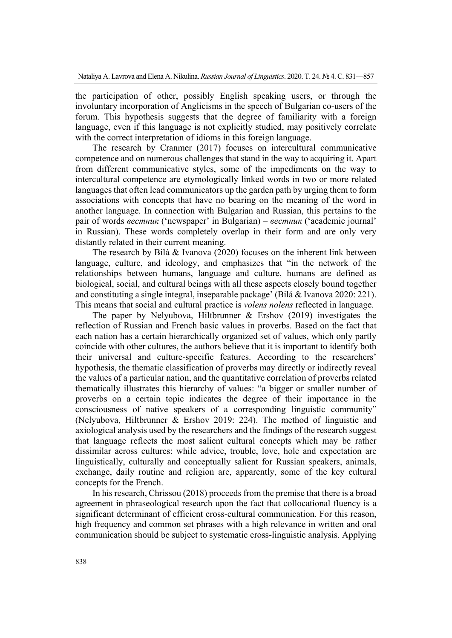the participation of other, possibly English speaking users, or through the involuntary incorporation of Anglicisms in the speech of Bulgarian co-users of the forum. This hypothesis suggests that the degree of familiarity with a foreign language, even if this language is not explicitly studied, may positively correlate with the correct interpretation of idioms in this foreign language.

The research by Cranmer (2017) focuses on intercultural communicative competence and on numerous challenges that stand in the way to acquiring it. Apart from different communicative styles, some of the impediments on the way to intercultural competence are etymologically linked words in two or more related languages that often lead communicators up the garden path by urging them to form associations with concepts that have no bearing on the meaning of the word in another language. In connection with Bulgarian and Russian, this pertains to the pair of words *вестник* ('newspaper' in Bulgarian) – *вестник* ('academic journal' in Russian). These words completely overlap in their form and are only very distantly related in their current meaning.

The research by Bilá & Ivanova (2020) focuses on the inherent link between language, culture, and ideology, and emphasizes that "in the network of the relationships between humans, language and culture, humans are defined as biological, social, and cultural beings with all these aspects closely bound together and constituting a single integral, inseparable package' (Bilá & Ivanova 2020: 221). This means that social and cultural practice is *volens nolens* reflected in language.

The paper by Nelyubova, Hiltbrunner & Ershov (2019) investigates the reflection of Russian and French basic values in proverbs. Based on the fact that each nation has a certain hierarchically organized set of values, which only partly coincide with other cultures, the authors believe that it is important to identify both their universal and culture-specific features. According to the researchers' hypothesis, the thematic classification of proverbs may directly or indirectly reveal the values of a particular nation, and the quantitative correlation of proverbs related thematically illustrates this hierarchy of values: "a bigger or smaller number of proverbs on a certain topic indicates the degree of their importance in the consciousness of native speakers of a corresponding linguistic community" (Nelyubova, Hiltbrunner & Ershov 2019: 224). The method of linguistic and axiological analysis used by the researchers and the findings of the research suggest that language reflects the most salient cultural concepts which may be rather dissimilar across cultures: while advice, trouble, love, hole and expectation are linguistically, culturally and conceptually salient for Russian speakers, animals, exchange, daily routine and religion are, apparently, some of the key cultural concepts for the French.

In his research, Chrissou (2018) proceeds from the premise that there is a broad agreement in phraseological research upon the fact that collocational fluency is a significant determinant of efficient cross-cultural communication. For this reason, high frequency and common set phrases with a high relevance in written and oral communication should be subject to systematic cross-linguistic analysis. Applying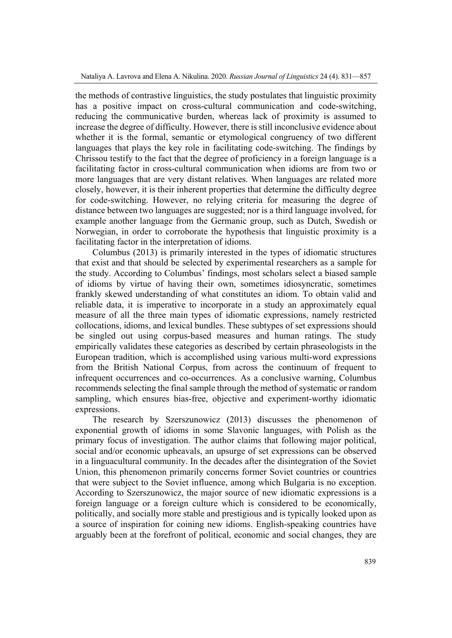the methods of contrastive linguistics, the study postulates that linguistic proximity has a positive impact on cross-cultural communication and code-switching, reducing the communicative burden, whereas lack of proximity is assumed to increase the degree of difficulty. However, there is still inconclusive evidence about whether it is the formal, semantic or etymological congruency of two different languages that plays the key role in facilitating code-switching. The findings by Chrissou testify to the fact that the degree of proficiency in a foreign language is a facilitating factor in cross-cultural communication when idioms are from two or more languages that are very distant relatives. When languages are related more closely, however, it is their inherent properties that determine the difficulty degree for code-switching. However, no relying criteria for measuring the degree of distance between two languages are suggested; nor is a third language involved, for example another language from the Germanic group, such as Dutch, Swedish or Norwegian, in order to corroborate the hypothesis that linguistic proximity is a facilitating factor in the interpretation of idioms.

Columbus (2013) is primarily interested in the types of idiomatic structures that exist and that should be selected by experimental researchers as a sample for the study. According to Columbus' findings, most scholars select a biased sample of idioms by virtue of having their own, sometimes idiosyncratic, sometimes frankly skewed understanding of what constitutes an idiom. To obtain valid and reliable data, it is imperative to incorporate in a study an approximately equal measure of all the three main types of idiomatic expressions, namely restricted collocations, idioms, and lexical bundles. These subtypes of set expressions should be singled out using corpus-based measures and human ratings. The study empirically validates these categories as described by certain phraseologists in the European tradition, which is accomplished using various multi-word expressions from the British National Corpus, from across the continuum of frequent to infrequent occurrences and co-occurrences. As a conclusive warning, Columbus recommends selecting the final sample through the method of systematic or random sampling, which ensures bias-free, objective and experiment-worthy idiomatic expressions.

The research by Szerszunowicz (2013) discusses the phenomenon of exponential growth of idioms in some Slavonic languages, with Polish as the primary focus of investigation. The author claims that following major political, social and/or economic upheavals, an upsurge of set expressions can be observed in a linguacultural community. In the decades after the disintegration of the Soviet Union, this phenomenon primarily concerns former Soviet countries or countries that were subject to the Soviet influence, among which Bulgaria is no exception. According to Szerszunowicz, the major source of new idiomatic expressions is a foreign language or a foreign culture which is considered to be economically, politically, and socially more stable and prestigious and is typically looked upon as a source of inspiration for coining new idioms. English-speaking countries have arguably been at the forefront of political, economic and social changes, they are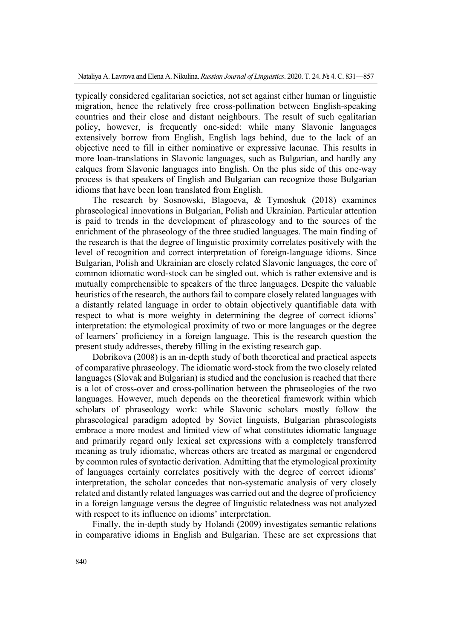typically considered egalitarian societies, not set against either human or linguistic migration, hence the relatively free cross-pollination between English-speaking countries and their close and distant neighbours. The result of such egalitarian policy, however, is frequently one-sided: while many Slavonic languages extensively borrow from English, English lags behind, due to the lack of an objective need to fill in either nominative or expressive lacunae. This results in more loan-translations in Slavonic languages, such as Bulgarian, and hardly any calques from Slavonic languages into English. On the plus side of this one-way process is that speakers of English and Bulgarian can recognize those Bulgarian idioms that have been loan translated from English.

The research by Sosnowski, Blagoeva, & Tymoshuk (2018) examines phraseological innovations in Bulgarian, Polish and Ukrainian. Particular attention is paid to trends in the development of phraseology and to the sources of the enrichment of the phraseology of the three studied languages. The main finding of the research is that the degree of linguistic proximity correlates positively with the level of recognition and correct interpretation of foreign-language idioms. Since Bulgarian, Polish and Ukrainian are closely related Slavonic languages, the core of common idiomatic word-stock can be singled out, which is rather extensive and is mutually comprehensible to speakers of the three languages. Despite the valuable heuristics of the research, the authors fail to compare closely related languages with a distantly related language in order to obtain objectively quantifiable data with respect to what is more weighty in determining the degree of correct idioms' interpretation: the etymological proximity of two or more languages or the degree of learners' proficiency in a foreign language. This is the research question the present study addresses, thereby filling in the existing research gap.

Dobrikova (2008) is an in-depth study of both theoretical and practical aspects of comparative phraseology. The idiomatic word-stock from the two closely related languages (Slovak and Bulgarian) is studied and the conclusion is reached that there is a lot of cross-over and cross-pollination between the phraseologies of the two languages. However, much depends on the theoretical framework within which scholars of phraseology work: while Slavonic scholars mostly follow the phraseological paradigm adopted by Soviet linguists, Bulgarian phraseologists embrace a more modest and limited view of what constitutes idiomatic language and primarily regard only lexical set expressions with a completely transferred meaning as truly idiomatic, whereas others are treated as marginal or engendered by common rules of syntactic derivation. Admitting that the etymological proximity of languages certainly correlates positively with the degree of correct idioms' interpretation, the scholar concedes that non-systematic analysis of very closely related and distantly related languages was carried out and the degree of proficiency in a foreign language versus the degree of linguistic relatedness was not analyzed with respect to its influence on idioms' interpretation.

Finally, the in-depth study by Holandi (2009) investigates semantic relations in comparative idioms in English and Bulgarian. These are set expressions that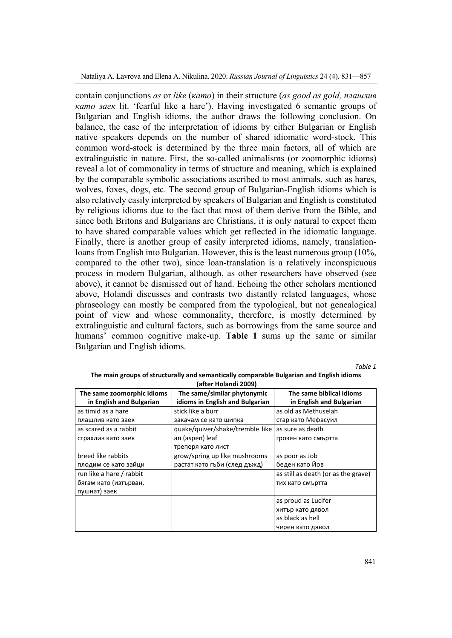contain conjunctions *as* or *like* (*като*) in their structure (*as good as gold, плашлив като заек* lit. 'fearful like a hare'). Having investigated 6 semantic groups of Bulgarian and English idioms, the author draws the following conclusion. On balance, the ease of the interpretation of idioms by either Bulgarian or English native speakers depends on the number of shared idiomatic word-stock. This common word-stock is determined by the three main factors, all of which are extralinguistic in nature. First, the so-called animalisms (or zoomorphic idioms) reveal a lot of commonality in terms of structure and meaning, which is explained by the comparable symbolic associations ascribed to most animals, such as hares, wolves, foxes, dogs, etc. The second group of Bulgarian-English idioms which is also relatively easily interpreted by speakers of Bulgarian and English is constituted by religious idioms due to the fact that most of them derive from the Bible, and since both Britons and Bulgarians are Christians, it is only natural to expect them to have shared comparable values which get reflected in the idiomatic language. Finally, there is another group of easily interpreted idioms, namely, translationloans from English into Bulgarian. However, this is the least numerous group (10%, compared to the other two), since loan-translation is a relatively inconspicuous process in modern Bulgarian, although, as other researchers have observed (see above), it cannot be dismissed out of hand. Echoing the other scholars mentioned above, Holandi discusses and contrasts two distantly related languages, whose phraseology can mostly be compared from the typological, but not genealogical point of view and whose commonality, therefore, is mostly determined by extralinguistic and cultural factors, such as borrowings from the same source and humans' common cognitive make-up. **Table 1** sums up the same or similar Bulgarian and English idioms.

*Table 1* 

| The same zoomorphic idioms<br>in English and Bulgarian | The same/similar phytonymic<br>idioms in English and Bulgarian | The same biblical idioms<br>in English and Bulgarian |  |
|--------------------------------------------------------|----------------------------------------------------------------|------------------------------------------------------|--|
| as timid as a hare                                     | stick like a burr                                              | as old as Methuselah                                 |  |
| плашлив като заек                                      | закачам се като шипка                                          | стар като Мефасуил                                   |  |
| as scared as a rabbit                                  | quake/quiver/shake/tremble like as sure as death               |                                                      |  |
| страхлив като заек                                     | an (aspen) leaf                                                | грозен като смъртта                                  |  |
|                                                        | треперя като лист                                              |                                                      |  |
| breed like rabbits                                     | grow/spring up like mushrooms                                  | as poor as Job                                       |  |
| плодим се като зайци                                   | растат като гъби (след дъжд)                                   | беден като Йов                                       |  |
| run like a hare / rabbit                               |                                                                | as still as death (or as the grave)                  |  |
| бягам като (изтърван,                                  |                                                                | тих като смъртта                                     |  |
| пушнат) заек                                           |                                                                |                                                      |  |
|                                                        |                                                                | as proud as Lucifer                                  |  |
|                                                        |                                                                | хитър като дявол                                     |  |
|                                                        |                                                                | as black as hell                                     |  |
|                                                        |                                                                | черен като дявол                                     |  |

#### **The main groups of structurally and semantically comparable Bulgarian and English idioms (after Holandi 2009)**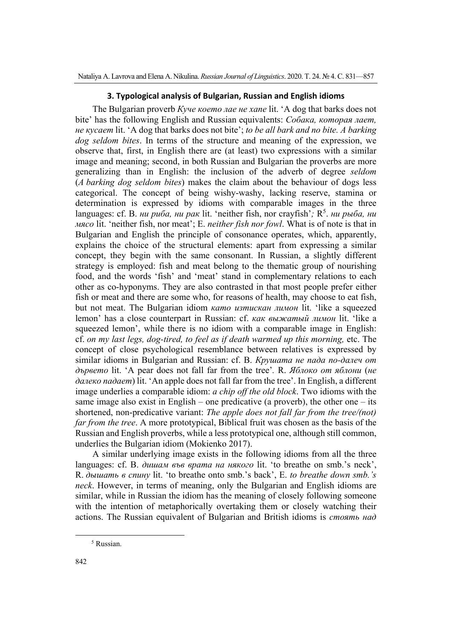# **3. Typological analysis of Bulgarian, Russian and English idioms**

The Bulgarian proverb *Куче което лае не хапе* lit. 'A dog that barks does not bite' has the following English and Russian equivalents: *Собака, которая лает, не кусает* lit. 'A dog that barks does not bite'; *to be all bark and no bite. A barking dog seldom bites*. In terms of the structure and meaning of the expression, we observe that, first, in English there are (at least) two expressions with a similar image and meaning; second, in both Russian and Bulgarian the proverbs are more generalizing than in English: the inclusion of the adverb of degree *seldom* (*A barking dog seldom bites*) makes the claim about the behaviour of dogs less categorical. The concept of being wishy-washy, lacking reserve, stamina or determination is expressed by idioms with comparable images in the three languages: cf. В. *ни риба, ни рак* lit. 'neither fish, nor crayfish'; R<sup>5</sup>. *ни рыба, ни мясо* lit. 'neither fish, nor meat'; E. *neither fish nor fowl*. What is of note is that in Bulgarian and English the principle of consonance operates, which, apparently, explains the choice of the structural elements: apart from expressing a similar concept, they begin with the same consonant. In Russian, a slightly different strategy is employed: fish and meat belong to the thematic group of nourishing food, and the words 'fish' and 'meat' stand in complementary relations to each other as co-hyponyms. They are also contrasted in that most people prefer either fish or meat and there are some who, for reasons of health, may choose to eat fish, but not meat. The Bulgarian idiom *като изтискан лимон* lit. 'like a squeezed lemon' has a close counterpart in Russian: cf. *как выжатый лимон* lit. 'like a squeezed lemon', while there is no idiom with a comparable image in English: cf. *on my last legs, dog-tired, to feel as if death warmed up this morning,* etc. The concept of close psychological resemblance between relatives is expressed by similar idioms in Bulgarian and Russian: cf. B. *Крушата не пада по-далеч от дървето* lit. 'A pear does not fall far from the tree'*.* R. *Яблоко от яблони* (*не далеко падает*) lit. 'An apple does not fall far from the tree'. In English, a different image underlies a comparable idiom: *a chip off the old block*. Two idioms with the same image also exist in English – one predicative (a proverb), the other one – its shortened, non-predicative variant: *The apple does not fall far from the tree/(not) far from the tree*. A more prototypical, Biblical fruit was chosen as the basis of the Russian and English proverbs, while a less prototypical one, although still common, underlies the Bulgarian idiom (Mokienko 2017).

A similar underlying image exists in the following idioms from all the three languages: cf. B. *дишам във врата на някого* lit. 'to breathe on smb.'s neck', R. *дышать в спину* lit. 'to breathe onto smb.'s back', E. *to breathe down smb.'s neck*. However, in terms of meaning, only the Bulgarian and English idioms are similar, while in Russian the idiom has the meaning of closely following someone with the intention of metaphorically overtaking them or closely watching their actions. The Russian equivalent of Bulgarian and British idioms is *стоять над*

<sup>5</sup> Russian.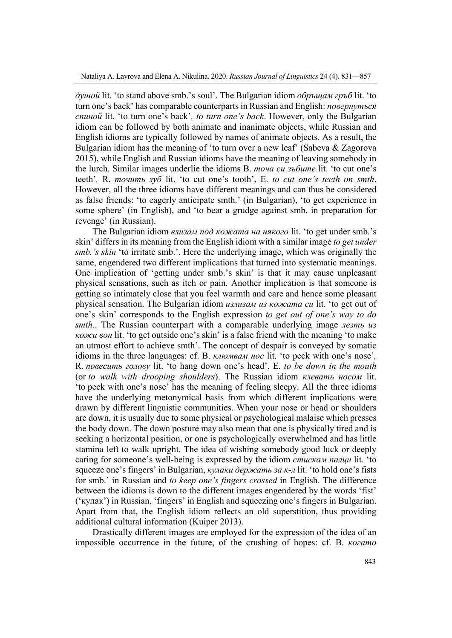*душой* lit. 'to stand above smb.'s soul'. The Bulgarian idiom *обръщам гръб* lit. 'to turn one's back' has comparable counterparts in Russian and English: *повернуться спиной* lit. 'to turn one's back'*, to turn one's back*. However, only the Bulgarian idiom can be followed by both animate and inanimate objects, while Russian and English idioms are typically followed by names of animate objects. As a result, the Bulgarian idiom has the meaning of 'to turn over a new leaf' (Sabeva & Zagorova 2015), while English and Russian idioms have the meaning of leaving somebody in the lurch. Similar images underlie the idioms B. *точа си зъбите* lit. 'to cut one's teeth'*,* R. *точить зуб* lit. 'to cut one's tooth', E. *to cut one's teeth on smth*. However, all the three idioms have different meanings and can thus be considered as false friends: 'to eagerly anticipate smth.' (in Bulgarian), 'to get experience in some sphere' (in English), and 'to bear a grudge against smb. in preparation for revenge' (in Russian).

The Bulgarian idiom *влизам под кожата на някого* lit. 'to get under smb.'s skin' differs in its meaning from the English idiom with a similar image *to get under smb.'s skin* 'to irritate smb.'. Here the underlying image, which was originally the same, engendered two different implications that turned into systematic meanings. One implication of 'getting under smb.'s skin' is that it may cause unpleasant physical sensations, such as itch or pain. Another implication is that someone is getting so intimately close that you feel warmth and care and hence some pleasant physical sensation. The Bulgarian idiom *излизам из кожата си* lit. 'to get out of one's skin' corresponds to the English expression *to get out of one's way to do smth*.. The Russian counterpart with a comparable underlying image *лезть из кожи вон* lit. 'to get outside one's skin' is a false friend with the meaning 'to make an utmost effort to achieve smth'. The concept of despair is conveyed by somatic idioms in the three languages: cf. B. *клюмвам нос* lit. 'to peck with one's nose'*,*  R. *повесить голову* lit. 'to hang down one's head', E. *to be down in the mouth*  (or *to walk with drooping shoulders*). The Russian idiom *клевать носом* lit. 'to peck with one's nose' has the meaning of feeling sleepy. All the three idioms have the underlying metonymical basis from which different implications were drawn by different linguistic communities. When your nose or head or shoulders are down, it is usually due to some physical or psychological malaise which presses the body down. The down posture may also mean that one is physically tired and is seeking a horizontal position, or one is psychologically overwhelmed and has little stamina left to walk upright. The idea of wishing somebody good luck or deeply caring for someone's well-being is expressed by the idiom *стискам палци* lit. 'to squeeze one's fingers' in Bulgarian, *кулаки держать за к-л* lit. 'to hold one's fists for smb.' in Russian and *to keep one's fingers crossed* in English. The difference between the idioms is down to the different images engendered by the words 'fist' ('кулак') in Russian, 'fingers' in English and squeezing one's fingers in Bulgarian. Apart from that, the English idiom reflects an old superstition, thus providing additional cultural information (Kuiper 2013).

Drastically different images are employed for the expression of the idea of an impossible occurrence in the future, of the crushing of hopes: cf. B. *когато*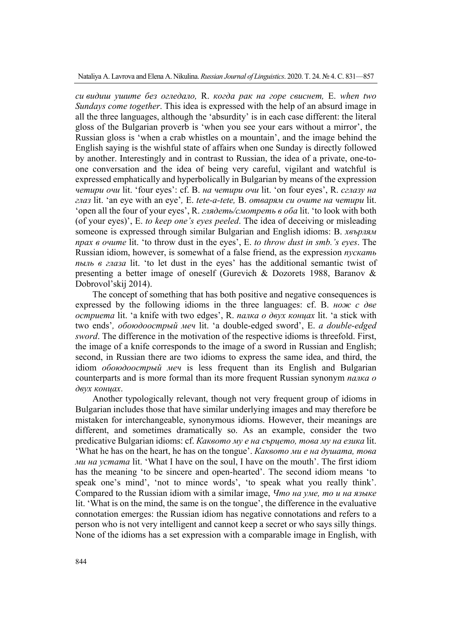*си видиш ушите без огледало,* R. *когда рак на горе свиснет,* E. *when two Sundays come together*. This idea is expressed with the help of an absurd image in all the three languages, although the 'absurdity' is in each case different: the literal gloss of the Bulgarian proverb is 'when you see your ears without a mirror', the Russian gloss is 'when a crab whistles on a mountain', and the image behind the English saying is the wishful state of affairs when one Sunday is directly followed by another. Interestingly and in contrast to Russian, the idea of a private, one-toone conversation and the idea of being very careful, vigilant and watchful is expressed emphatically and hyperbolically in Bulgarian by means of the expression *четири очи* lit. 'four eyes': cf. B. *на четири очи* lit. 'on four eyes', R. *сглазу на глаз* lit. 'an eye with an eye'*,* E. *tete-a-tete,* B. *отварям си очите на четири* lit. 'open all the four of your eyes', R. *глядеть/смотреть в оба* lit. 'to look with both (of your eyes)', E. *to keep one's eyes peeled*. The idea of deceiving or misleading someone is expressed through similar Bulgarian and English idioms: B. *хвърлям прах в очите* lit. 'to throw dust in the eyes', E. *to throw dust in smb.'s eyes*. The Russian idiom, however, is somewhat of a false friend, as the expression *пускать пыль в глаза* lit. 'to let dust in the eyes' has the additional semantic twist of presenting a better image of oneself (Gurevich & Dozorets 1988, Baranov & Dobrovol'skij 2014).

The concept of something that has both positive and negative consequences is expressed by the following idioms in the three languages: cf. B. *нож с две остриета* lit. 'a knife with two edges', R. *палка о двух концах* lit. 'a stick with two ends'*, обоюдоострый меч* lit. 'a double-edged sword', E. *a double-edged sword*. The difference in the motivation of the respective idioms is threefold. First, the image of a knife corresponds to the image of a sword in Russian and English; second, in Russian there are two idioms to express the same idea, and third, the idiom *обоюдоострый меч* is less frequent than its English and Bulgarian counterparts and is more formal than its more frequent Russian synonym *палка о двух концах*.

Another typologically relevant, though not very frequent group of idioms in Bulgarian includes those that have similar underlying images and may therefore be mistaken for interchangeable, synonymous idioms. However, their meanings are different, and sometimes dramatically so. As an example, consider the two predicative Bulgarian idioms: cf. *Каквото му е на сърцето, това му на езика* lit. 'What he has on the heart, he has on the tongue'. *Каквото ми е на душата, това ми на устата* lit. 'What I have on the soul, I have on the mouth'. The first idiom has the meaning 'to be sincere and open-hearted'. The second idiom means 'to speak one's mind', 'not to mince words', 'to speak what you really think'. Compared to the Russian idiom with a similar image, *Что на уме, то и на языке* lit. 'What is on the mind, the same is on the tongue', the difference in the evaluative connotation emerges: the Russian idiom has negative connotations and refers to a person who is not very intelligent and cannot keep a secret or who says silly things. None of the idioms has a set expression with a comparable image in English, with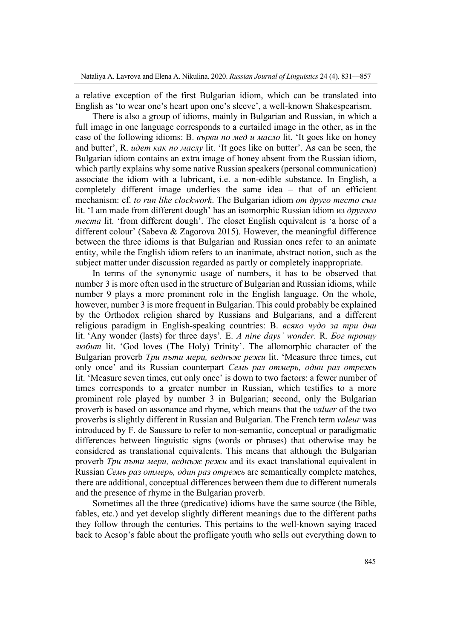a relative exception of the first Bulgarian idiom, which can be translated into English as 'to wear one's heart upon one's sleeve', a well-known Shakespearism.

There is also a group of idioms, mainly in Bulgarian and Russian, in which a full image in one language corresponds to a curtailed image in the other, as in the case of the following idioms: B. *върви по мед и масло* lit. 'It goes like on honey and butter', R. *идет как по маслу* lit. 'It goes like on butter'. As can be seen, the Bulgarian idiom contains an extra image of honey absent from the Russian idiom, which partly explains why some native Russian speakers (personal communication) associate the idiom with a lubricant, i.e. a non-edible substance. In English, a completely different image underlies the same idea – that of an efficient mechanism: cf. *to run like clockwork*. The Bulgarian idiom *от друго тесто съм* lit. 'I am made from different dough' has an isomorphic Russian idiom из *другого теста* lit. 'from different dough'. The closet English equivalent is 'a horse of a different colour' (Sabeva & Zagorova 2015). However, the meaningful difference between the three idioms is that Bulgarian and Russian ones refer to an animate entity, while the English idiom refers to an inanimate, abstract notion, such as the subject matter under discussion regarded as partly or completely inappropriate.

In terms of the synonymic usage of numbers, it has to be observed that number 3 is more often used in the structure of Bulgarian and Russian idioms, while number 9 plays a more prominent role in the English language. On the whole, however, number 3 is more frequent in Bulgarian. This could probably be explained by the Orthodox religion shared by Russians and Bulgarians, and a different religious paradigm in English-speaking countries: B. *всяко чудо за три дни* lit. 'Any wonder (lasts) for three days'*.* E. *A nine days' wonder.* R. *Бог троицу любит* lit. 'God loves (The Holy) Trinity'. The allomorphic character of the Bulgarian proverb *Три пъти мери, веднъж режи* lit. 'Measure three times, cut only once' and its Russian counterpart *Семь раз отмерь, один раз отрежь* lit. 'Measure seven times, cut only once' is down to two factors: a fewer number of times corresponds to a greater number in Russian, which testifies to a more prominent role played by number 3 in Bulgarian; second, only the Bulgarian proverb is based on assonance and rhyme, which means that the *valuer* of the two proverbs is slightly different in Russian and Bulgarian. The French term *valeur* was introduced by F. de Saussure to refer to non-semantic, conceptual or paradigmatic differences between linguistic signs (words or phrases) that otherwise may be considered as translational equivalents. This means that although the Bulgarian proverb *Три пъти мери, веднъж режи* and its exact translational equivalent in Russian *Семь раз отмерь, один раз отрежь* are semantically complete matches, there are additional, conceptual differences between them due to different numerals and the presence of rhyme in the Bulgarian proverb.

Sometimes all the three (predicative) idioms have the same source (the Bible, fables, etc.) and yet develop slightly different meanings due to the different paths they follow through the centuries. This pertains to the well-known saying traced back to Aesop's fable about the profligate youth who sells out everything down to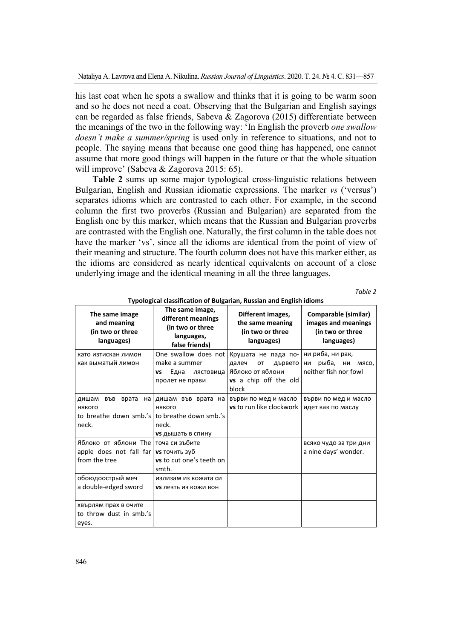his last coat when he spots a swallow and thinks that it is going to be warm soon and so he does not need a coat. Observing that the Bulgarian and English sayings can be regarded as false friends, Sabeva & Zagorova (2015) differentiate between the meanings of the two in the following way: 'In English the proverb *one swallow doesn't make a summer/spring* is used only in reference to situations, and not to people. The saying means that because one good thing has happened, one cannot assume that more good things will happen in the future or that the whole situation will improve' (Sabeva & Zagorova 2015: 65).

**Table 2** sums up some major typological cross-linguistic relations between Bulgarian, English and Russian idiomatic expressions. The marker *vs* ('versus') separates idioms which are contrasted to each other. For example, in the second column the first two proverbs (Russian and Bulgarian) are separated from the English one by this marker, which means that the Russian and Bulgarian proverbs are contrasted with the English one. Naturally, the first column in the table does not have the marker 'vs', since all the idioms are identical from the point of view of their meaning and structure. The fourth column does not have this marker either, as the idioms are considered as nearly identical equivalents on account of a close underlying image and the identical meaning in all the three languages.

*Table 2* 

| The same image<br>and meaning<br>(in two or three<br>languages)                                 | The same image,<br>different meanings<br>(in two or three<br>languages,<br>false friends) | Different images,<br>the same meaning<br>(in two or three<br>languages)                                                                       | Comparable (similar)<br>images and meanings<br>(in two or three<br>languages) |
|-------------------------------------------------------------------------------------------------|-------------------------------------------------------------------------------------------|-----------------------------------------------------------------------------------------------------------------------------------------------|-------------------------------------------------------------------------------|
| като изтискан лимон<br>как выжатый лимон                                                        | make a summer<br>Една<br>VS<br>пролет не прави                                            | One swallow does not   Крушата не пада по-<br>далеч<br>OT<br>дървето<br>лястовица   Яблоко от яблони<br><b>vs</b> a chip off the old<br>block | ни риба, ни рак,<br>ни рыба, ни мясо,<br>neither fish nor fowl                |
| дишам във врата<br>някого<br>to breathe down smb.'s to breathe down smb.'s<br>neck.             | на дишам във врата на<br>някого<br>neck.<br>vs дышать в спину                             | върви по мед и масло<br><b>vs</b> to run like clockwork                                                                                       | върви по мед и масло<br>идет как по маслу                                     |
| Яблоко от яблони The Toча си зъбите<br>apple does not fall far $vs$ точить зуб<br>from the tree | vs to cut one's teeth on<br>smth.                                                         |                                                                                                                                               | всяко чудо за три дни<br>a nine days' wonder.                                 |
| обоюдоострый меч<br>a double-edged sword                                                        | излизам из кожата си<br><b>VS Лезть из кожи вон</b>                                       |                                                                                                                                               |                                                                               |
| хвърлям прах в очите<br>to throw dust in smb.'s<br>eyes.                                        |                                                                                           |                                                                                                                                               |                                                                               |

**Typological classification of Bulgarian, Russian and English idioms**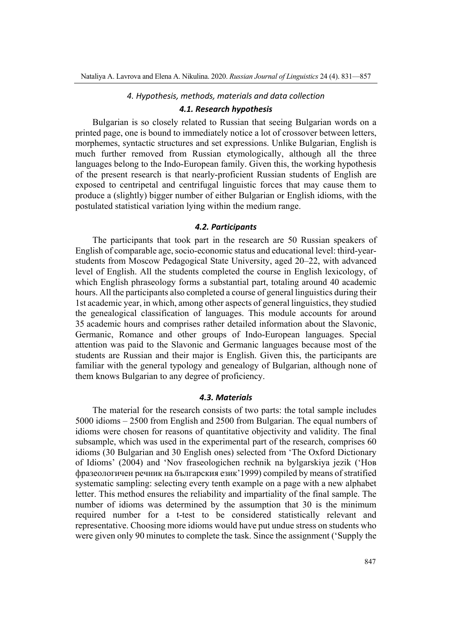#### *4. Hypothesis, methods, materials and data collection*

### *4.1. Research hypothesis*

Bulgarian is so closely related to Russian that seeing Bulgarian words on a printed page, one is bound to immediately notice a lot of crossover between letters, morphemes, syntactic structures and set expressions. Unlike Bulgarian, English is much further removed from Russian etymologically, although all the three languages belong to the Indo-European family. Given this, the working hypothesis of the present research is that nearly-proficient Russian students of English are exposed to centripetal and centrifugal linguistic forces that may cause them to produce a (slightly) bigger number of either Bulgarian or English idioms, with the postulated statistical variation lying within the medium range.

#### *4.2. Participants*

The participants that took part in the research are 50 Russian speakers of English of comparable age, socio-economic status and educational level: third-yearstudents from Moscow Pedagogical State University, aged 20–22, with advanced level of English. All the students completed the course in English lexicology, of which English phraseology forms a substantial part, totaling around 40 academic hours. All the participants also completed a course of general linguistics during their 1st academic year, in which, among other aspects of general linguistics, they studied the genealogical classification of languages. This module accounts for around 35 academic hours and comprises rather detailed information about the Slavonic, Germanic, Romance and other groups of Indo-European languages. Special attention was paid to the Slavonic and Germanic languages because most of the students are Russian and their major is English. Given this, the participants are familiar with the general typology and genealogy of Bulgarian, although none of them knows Bulgarian to any degree of proficiency.

#### *4.3. Materials*

The material for the research consists of two parts: the total sample includes 5000 idioms – 2500 from English and 2500 from Bulgarian. The equal numbers of idioms were chosen for reasons of quantitative objectivity and validity. The final subsample, which was used in the experimental part of the research, comprises 60 idioms (30 Bulgarian and 30 English ones) selected from 'The Oxford Dictionary of Idioms' (2004) and 'Nov fraseologichen rechnik na bylgarskiya jezik ('Нов фразеологичен речник на българския език'1999) compiled by means of stratified systematic sampling: selecting every tenth example on a page with a new alphabet letter. This method ensures the reliability and impartiality of the final sample. The number of idioms was determined by the assumption that 30 is the minimum required number for a t-test to be considered statistically relevant and representative. Choosing more idioms would have put undue stress on students who were given only 90 minutes to complete the task. Since the assignment ('Supply the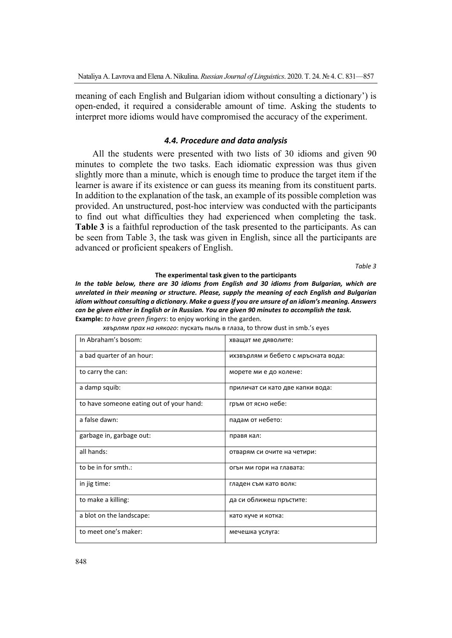meaning of each English and Bulgarian idiom without consulting a dictionary') is open-ended, it required a considerable amount of time. Asking the students to interpret more idioms would have compromised the accuracy of the experiment.

## *4.4. Procedure and data analysis*

All the students were presented with two lists of 30 idioms and given 90 minutes to complete the two tasks. Each idiomatic expression was thus given slightly more than a minute, which is enough time to produce the target item if the learner is aware if its existence or can guess its meaning from its constituent parts. In addition to the explanation of the task, an example of its possible completion was provided. An unstructured, post-hoc interview was conducted with the participants to find out what difficulties they had experienced when completing the task. **Table 3** is a faithful reproduction of the task presented to the participants. As can be seen from Table 3, the task was given in English, since all the participants are advanced or proficient speakers of English.

*Table 3* 

#### **The experimental task given to the participants**

*In the table below, there are 30 idioms from English and 30 idioms from Bulgarian, which are unrelated in their meaning or structure. Please, supply the meaning of each English and Bulgarian idiom without consulting a dictionary. Make a guess if you are unsure of an idiom's meaning. Answers can be given either in English or in Russian. You are given 90 minutes to accomplish the task.*  **Example:** *to have green fingers*: to enjoy working in the garden.

|  |  | хвърлям прах на някого: пускать пыль в глаза, to throw dust in smb.'s eyes |
|--|--|----------------------------------------------------------------------------|
|--|--|----------------------------------------------------------------------------|

| In Abraham's bosom:                      | хващат ме дяволите:                 |
|------------------------------------------|-------------------------------------|
| a bad quarter of an hour:                | ихзвърлям и бебето с мръсната вода: |
| to carry the can:                        | морете ми е до колене:              |
| a damp squib:                            | приличат си като две капки вода:    |
| to have someone eating out of your hand: | гръм от ясно небе:                  |
| a false dawn:                            | падам от небето:                    |
| garbage in, garbage out:                 | правя кал:                          |
| all hands:                               | отварям си очите на четири:         |
| to be in for smth.:                      | огън ми гори на главата:            |
| in jig time:                             | гладен съм като волк:               |
| to make a killing:                       | да си оближеш пръстите:             |
| a blot on the landscape:                 | като куче и котка:                  |
| to meet one's maker:                     | мечешка услуга:                     |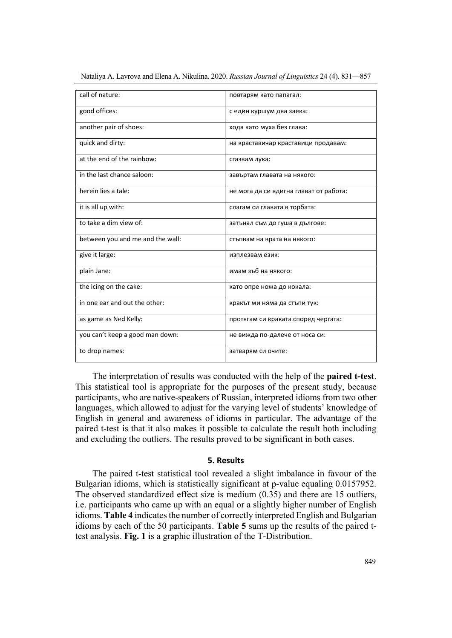| call of nature:                  | повтарям като папагал:                 |
|----------------------------------|----------------------------------------|
| good offices:                    | с един куршум два заека:               |
| another pair of shoes:           | ходя като муха без глава:              |
| quick and dirty:                 | на краставичар краставици продавам:    |
| at the end of the rainbow:       | сгазвам лука:                          |
| in the last chance saloon:       | завъртам главата на някого:            |
| herein lies a tale:              | не мога да си вдигна глават от работа: |
| it is all up with:               | слагам си главата в торбата:           |
| to take a dim view of:           | затънал съм до гуша в дългове:         |
| between you and me and the wall: | стъпвам на врата на някого:            |
| give it large:                   | изплезвам език:                        |
| plain Jane:                      | имам зъб на някого:                    |
| the icing on the cake:           | като опре ножа до кокала:              |
| in one ear and out the other:    | кракът ми няма да стъпи тук:           |
| as game as Ned Kelly:            | протягам си краката според чергата:    |
| you can't keep a good man down:  | не вижда по-далече от носа си:         |
| to drop names:                   | затварям си очите:                     |

The interpretation of results was conducted with the help of the **paired t-test**. This statistical tool is appropriate for the purposes of the present study, because participants, who are native-speakers of Russian, interpreted idioms from two other languages, which allowed to adjust for the varying level of students' knowledge of English in general and awareness of idioms in particular. The advantage of the paired t-test is that it also makes it possible to calculate the result both including and excluding the outliers. The results proved to be significant in both cases.

## **5. Results**

The paired t-test statistical tool revealed a slight imbalance in favour of the Bulgarian idioms, which is statistically significant at p-value equaling 0.0157952. The observed standardized effect size is medium (0.35) and there are 15 outliers, i.e. participants who came up with an equal or a slightly higher number of English idioms. **Table 4** indicates the number of correctly interpreted English and Bulgarian idioms by each of the 50 participants. **Table 5** sums up the results of the paired ttest analysis. **Fig. 1** is a graphic illustration of the T-Distribution.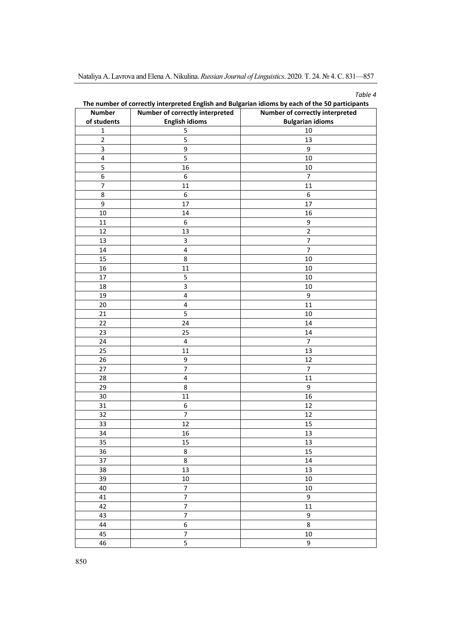| ını<br>i I |  |
|------------|--|
|------------|--|

| <b>Number</b>    | Number of correctly interpreted | Number of correctly interpreted |
|------------------|---------------------------------|---------------------------------|
| of students      | <b>English idioms</b>           | <b>Bulgarian idioms</b>         |
| $\mathbf 1$      | 5                               | 10                              |
| $\mathbf 2$      | 5                               | 13                              |
| $\mathsf 3$      | 9                               | 9                               |
| $\pmb{4}$        | 5                               | 10                              |
| 5                | 16                              | 10                              |
| 6                | 6                               | 7                               |
| $\boldsymbol{7}$ | 11                              | 11                              |
| 8                | 6                               | 6                               |
| 9                | 17                              | 17                              |
| 10               | 14                              | 16                              |
| $11\,$           | 6                               | 9                               |
| 12               | 13                              | $\overline{2}$                  |
| 13               | $\mathsf 3$                     | $\overline{7}$                  |
| 14               | $\pmb{4}$                       | $\overline{7}$                  |
| 15               | 8                               | 10                              |
| 16               | 11                              | 10                              |
| 17               | 5                               | 10                              |
| 18               | $\mathbf{3}$                    | 10                              |
| 19               | $\pmb{4}$                       | 9                               |
| 20               | $\pmb{4}$                       | 11                              |
| 21               | 5                               | $10\,$                          |
| 22               | 24                              | 14                              |
| 23               | 25                              | 14                              |
| 24               | $\overline{\mathbf{4}}$         | $\boldsymbol{7}$                |
| 25               | 11                              | 13                              |
| 26               | 9                               | 12                              |
| 27               | $\overline{7}$                  | $\boldsymbol{7}$                |
| 28               | $\pmb{4}$                       | 11                              |
| 29               | 8                               | 9                               |
| 30               | 11                              | 16                              |
| 31               | 6                               | 12                              |
| 32               | $\overline{7}$                  | 12                              |
| 33               | 12                              | 15                              |
| 34               | 16                              | 13                              |
| 35               | 15                              | 13                              |
| 36               | $\bf 8$                         | 15                              |
| 37               | 8                               | 14                              |
| 38               | 13                              | 13                              |
| 39               | $10\,$                          | 10                              |
| 40               | $\overline{7}$                  | $10\,$                          |
| 41               | $\overline{7}$                  | 9                               |
| 42               | $\overline{7}$                  | 11                              |
| 43               | $\overline{7}$                  | 9                               |
| 44               | 6                               | 8                               |
| 45               | $\overline{7}$                  | $10\,$                          |
| 46               | $\overline{5}$                  | 9                               |

**The number of correctly interpreted English and Bulgarian idioms by each of the 50 participants**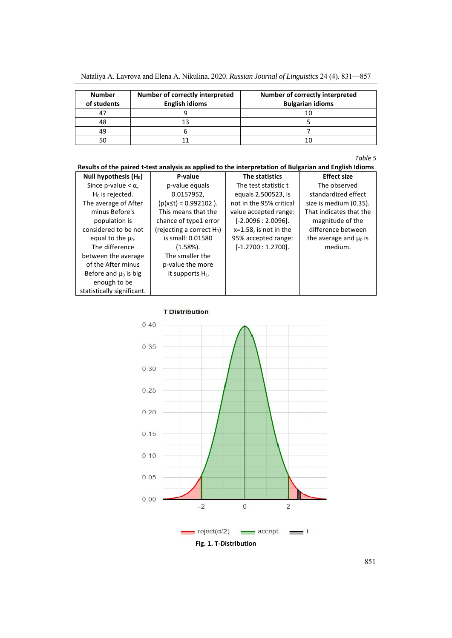| <b>Number</b><br>of students | Number of correctly interpreted<br><b>English idioms</b> | Number of correctly interpreted<br><b>Bulgarian idioms</b> |
|------------------------------|----------------------------------------------------------|------------------------------------------------------------|
|                              |                                                          |                                                            |
| 48                           |                                                          |                                                            |
| 49                           |                                                          |                                                            |
|                              |                                                          |                                                            |

*Table 5* 

# **Results of the paired t‐test analysis as applied to the interpretation of Bulgarian and English Idioms**

| Null hypothesis $(H_0)$    | P-value                      | The statistics           | <b>Effect size</b>         |
|----------------------------|------------------------------|--------------------------|----------------------------|
| Since p-value $< \alpha$ , | p-value equals               | The test statistic t     | The observed               |
| $H_0$ is rejected.         | 0.0157952,                   | equals 2.500523, is      | standardized effect        |
| The average of After       | $(p(x \le t) = 0.992102)$ .  | not in the 95% critical  | size is medium (0.35).     |
| minus Before's             | This means that the          | value accepted range:    | That indicates that the    |
| population is              | chance of type1 error        | $[-2.0096:2.0096]$ .     | magnitude of the           |
| considered to be not       | (rejecting a correct $H_0$ ) | $x=1.58$ , is not in the | difference between         |
| equal to the $\mu_0$ .     | is small: 0.01580            | 95% accepted range:      | the average and $\mu_0$ is |
| The difference             | $(1.58\%)$ .                 | $[-1.2700:1.2700]$ .     | medium.                    |
| between the average        | The smaller the              |                          |                            |
| of the After minus         | p-value the more             |                          |                            |
| Before and $\mu_0$ is big  | it supports $H_1$ .          |                          |                            |
| enough to be               |                              |                          |                            |
| statistically significant. |                              |                          |                            |



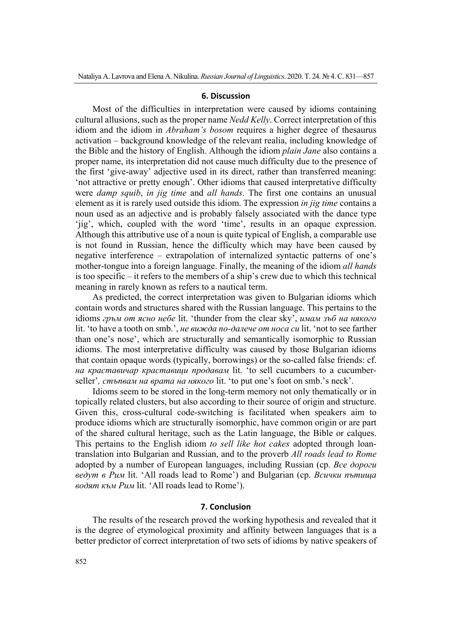### **6. Discussion**

Most of the difficulties in interpretation were caused by idioms containing cultural allusions, such as the proper name *Nedd Kelly*. Correct interpretation of this idiom and the idiom in *Abraham's bosom* requires a higher degree of thesaurus activation – background knowledge of the relevant realia, including knowledge of the Bible and the history of English. Although the idiom *plain Jane* also contains a proper name, its interpretation did not cause much difficulty due to the presence of the first 'give-away' adjective used in its direct, rather than transferred meaning: 'not attractive or pretty enough'. Other idioms that caused interpretative difficulty were *damp squib*, *in jig time* and *all hands*. The first one contains an unusual element as it is rarely used outside this idiom. The expression *in jig time* contains a noun used as an adjective and is probably falsely associated with the dance type 'jig', which, coupled with the word 'time', results in an opaque expression. Although this attributive use of a noun is quite typical of English, a comparable use is not found in Russian, hence the difficulty which may have been caused by negative interference – extrapolation of internalized syntactic patterns of one's mother-tongue into a foreign language. Finally, the meaning of the idiom *all hands* is too specific – it refers to the members of a ship's crew due to which this technical meaning in rarely known as refers to a nautical term.

As predicted, the correct interpretation was given to Bulgarian idioms which contain words and structures shared with the Russian language. This pertains to the idioms *гръм от ясно небе* lit. 'thunder from the clear sky', *имам зъб на някого* lit. 'to have a tooth on smb.', *не вижда по-далече от носа си* lit. 'not to see farther than one's nose', which are structurally and semantically isomorphic to Russian idioms. The most interpretative difficulty was caused by those Bulgarian idioms that contain opaque words (typically, borrowings) or the so-called false friends: cf. *на краставичар краставици продавам* lit. 'to sell cucumbers to a cucumberseller'*, стъпвам на врата на някого* lit. 'to put one's foot on smb.'s neck'.

Idioms seem to be stored in the long-term memory not only thematically or in topically related clusters, but also according to their source of origin and structure. Given this, cross-cultural code-switching is facilitated when speakers aim to produce idioms which are structurally isomorphic, have common origin or are part of the shared cultural heritage, such as the Latin language, the Bible or calques. This pertains to the English idiom *to sell like hot cakes* adopted through loantranslation into Bulgarian and Russian, and to the proverb *All roads lead to Rome* adopted by a number of European languages, including Russian (ср. *Все дороги ведут в Рим* lit. 'All roads lead to Rome') and Bulgarian (ср. *Всички пътища водят към Рим* lit. 'All roads lead to Rome').

## **7. Conclusion**

The results of the research proved the working hypothesis and revealed that it is the degree of etymological proximity and affinity between languages that is a better predictor of correct interpretation of two sets of idioms by native speakers of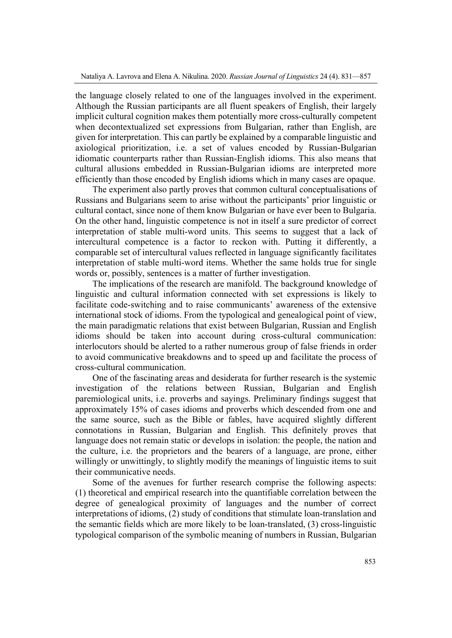the language closely related to one of the languages involved in the experiment. Although the Russian participants are all fluent speakers of English, their largely implicit cultural cognition makes them potentially more cross-culturally competent when decontextualized set expressions from Bulgarian, rather than English, are given for interpretation. This can partly be explained by a comparable linguistic and axiological prioritization, i.e. a set of values encoded by Russian-Bulgarian idiomatic counterparts rather than Russian-English idioms. This also means that cultural allusions embedded in Russian-Bulgarian idioms are interpreted more efficiently than those encoded by English idioms which in many cases are opaque.

The experiment also partly proves that common cultural conceptualisations of Russians and Bulgarians seem to arise without the participants' prior linguistic or cultural contact, since none of them know Bulgarian or have ever been to Bulgaria. On the other hand, linguistic competence is not in itself a sure predictor of correct interpretation of stable multi-word units. This seems to suggest that a lack of intercultural competence is a factor to reckon with. Putting it differently, a comparable set of intercultural values reflected in language significantly facilitates interpretation of stable multi-word items. Whether the same holds true for single words or, possibly, sentences is a matter of further investigation.

The implications of the research are manifold. The background knowledge of linguistic and cultural information connected with set expressions is likely to facilitate code-switching and to raise communicants' awareness of the extensive international stock of idioms. From the typological and genealogical point of view, the main paradigmatic relations that exist between Bulgarian, Russian and English idioms should be taken into account during cross-cultural communication: interlocutors should be alerted to a rather numerous group of false friends in order to avoid communicative breakdowns and to speed up and facilitate the process of cross-cultural communication.

One of the fascinating areas and desiderata for further research is the systemic investigation of the relations between Russian, Bulgarian and English paremiological units, i.e. proverbs and sayings. Preliminary findings suggest that approximately 15% of cases idioms and proverbs which descended from one and the same source, such as the Bible or fables, have acquired slightly different connotations in Russian, Bulgarian and English. This definitely proves that language does not remain static or develops in isolation: the people, the nation and the culture, i.e. the proprietors and the bearers of a language, are prone, either willingly or unwittingly, to slightly modify the meanings of linguistic items to suit their communicative needs.

Some of the avenues for further research comprise the following aspects: (1) theoretical and empirical research into the quantifiable correlation between the degree of genealogical proximity of languages and the number of correct interpretations of idioms, (2) study of conditions that stimulate loan-translation and the semantic fields which are more likely to be loan-translated, (3) cross-linguistic typological comparison of the symbolic meaning of numbers in Russian, Bulgarian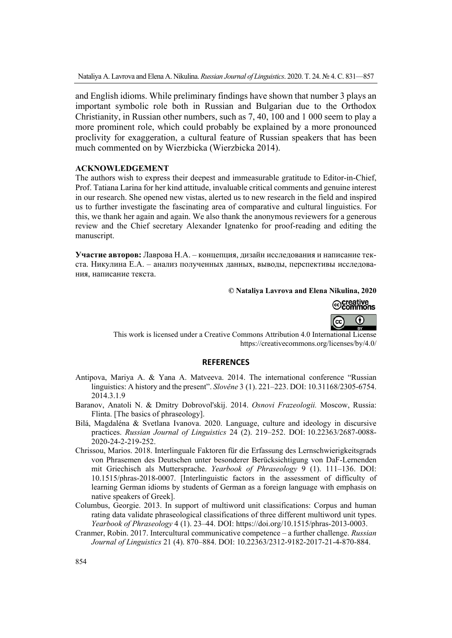and English idioms. While preliminary findings have shown that number 3 plays an important symbolic role both in Russian and Bulgarian due to the Orthodox Christianity, in Russian other numbers, such as 7, 40, 100 and 1 000 seem to play a more prominent role, which could probably be explained by a more pronounced proclivity for exaggeration, a cultural feature of Russian speakers that has been much commented on by Wierzbicka (Wierzbicka 2014).

# **ACKNOWLEDGEMENT**

The authors wish to express their deepest and immeasurable gratitude to Editor-in-Chief, Prof. Tatiana Larina for her kind attitude, invaluable critical comments and genuine interest in our research. She opened new vistas, alerted us to new research in the field and inspired us to further investigate the fascinating area of comparative and cultural linguistics. For this, we thank her again and again. We also thank the anonymous reviewers for a generous review and the Chief secretary Alexander Ignatenko for proof-reading and editing the manuscript.

**Участие авторов:** Лаврова Н.А. – концепция, дизайн исследования и написание текста. Никулина Е.А. – анализ полученных данных, выводы, перспективы исследования, написание текста.

## **© Nataliya Lavrova and Elena Nikulina, 2020**



This work is licensed under a Creative Commons Attribution 4.0 International License https://creativecommons.org/licenses/by/4.0/

## **REFERENCES**

- Antipova, Mariya A. & Yana A. Matveeva. 2014. The international conference "Russian linguistics: A history and the present". *Slověne* 3 (1). 221–223. DOI: 10.31168/2305-6754. 2014.3.1.9
- Baranov, Anatoli N. & Dmitry Dobrovol'skij. 2014. *Osnovi Frazeologii.* Moscow, Russia: Flinta. [The basics of phraseology].
- Bilá, Magdaléna & Svetlana Ivanova. 2020. Language, culture and ideology in discursive practices. *Russian Journal of Linguistics* 24 (2). 219–252. DOI: 10.22363/2687-0088- 2020-24-2-219-252.
- Chrissou, Marios. 2018. Interlinguale Faktoren für die Erfassung des Lernschwierigkeitsgrads von Phrasemen des Deutschen unter besonderer Berücksichtigung von DaF-Lernenden mit Griechisch als Muttersprache. *Yearbook of Phraseology* 9 (1). 111–136. DOI: 10.1515/phras-2018-0007. [Interlinguistic factors in the assessment of difficulty of learning German idioms by students of German as a foreign language with emphasis on native speakers of Greek].
- Columbus, Georgie. 2013. In support of multiword unit classifications: Corpus and human rating data validate phraseological classifications of three different multiword unit types. *Yearbook of Phraseology* 4 (1). 23–44. DOI: https://doi.org/10.1515/phras-2013-0003.
- Cranmer, Robin. 2017. Intercultural communicative competence a further challenge. *Russian Journal of Linguistics* 21 (4). 870–884. DOI: 10.22363/2312-9182-2017-21-4-870-884.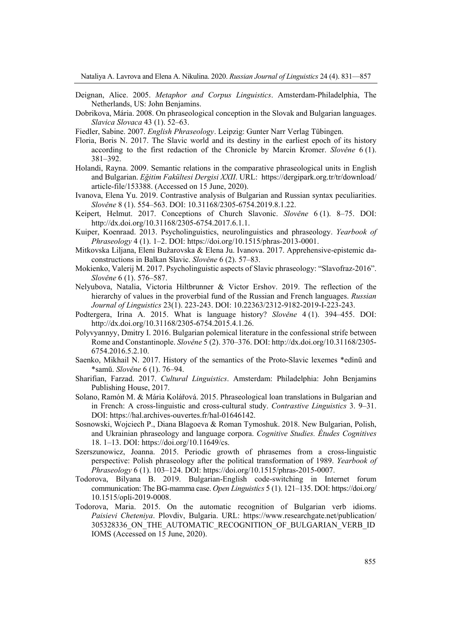- Deignan, Alice. 2005. *Metaphor and Corpus Linguistics*. Amsterdam-Philadelphia, The Netherlands, US: John Benjamins.
- Dobrikova, Mária. 2008. On phraseological conception in the Slovak and Bulgarian languages. *Slavica Slovaca* 43 (1). 52–63.
- Fiedler, Sabine. 2007. *English Phraseology*. Leipzig: Gunter Narr Verlag Tübingen.
- Floria, Boris N. 2017. The Slavic world and its destiny in the earliest epoch of its history according to the first redaction of the Chronicle by Marcin Kromer. *Slověne* 6 (1). 381–392.
- Holandi, Rayna. 2009. Semantic relations in the comparative phraseological units in English and Bulgarian. *Eğitim Fakültesi Dergisi XXII*. URL: https://dergipark.org.tr/tr/download/ article-file/153388. (Accessed on 15 June, 2020).
- Ivanova, Elena Yu. 2019. Contrastive analysis of Bulgarian and Russian syntax peculiarities. *Slověne* 8 (1). 554–563. DOI: 10.31168/2305-6754.2019.8.1.22.
- Keipert, Helmut. 2017. Conceptions of Church Slavonic. *Slověne* 6 (1). 8–75. DOI: http://dx.doi.org/10.31168/2305-6754.2017.6.1.1.
- Kuiper, Koenraad. 2013. Psycholinguistics, neurolinguistics and phraseology. *Yearbook of Phraseology* 4 (1). 1–2. DOI: https://doi.org/10.1515/phras-2013-0001.
- Mitkovska Liljana, Eleni Bužarovska & Elena Ju. Ivanova. 2017. Apprehensive-epistemic daconstructions in Balkan Slavic. *Slověne* 6 (2). 57–83.
- Mokienko, Valerij M. 2017. Psycholinguistic aspects of Slavic phraseology: "Slavofraz-2016". *Slověne* 6 (1). 576–587.
- Nelyubova, Natalia, Victoria Hiltbrunner & Victor Ershov. 2019. The reflection of the hierarchy of values in the proverbial fund of the Russian and French languages. *Russian Journal of Linguistics* 23(1). 223-243. DOI: 10.22363/2312-9182-2019-I-223-243.
- Podtergera, Irina A. 2015. What is language history? *Slověne* 4 (1). 394–455. DOI: http://dx.doi.org/10.31168/2305-6754.2015.4.1.26.
- Polyvyannyy, Dmitry I. 2016. Bulgarian polemical literature in the confessional strife between Rome and Constantinople. *Slověne* 5 (2). 370–376. DOI: http://dx.doi.org/10.31168/2305- 6754.2016.5.2.10.
- Saenko, Mikhail N. 2017. History of the semantics of the Proto-Slavic lexemes \*edinŭ and \*samŭ. *Slověne* 6 (1). 76–94.
- Sharifian, Farzad. 2017. *Cultural Linguistics*. Amsterdam: Philadelphia: John Benjamins Publishing House, 2017.
- Solano, Ramón M. & Mária Kolářová. 2015. Phraseological loan translations in Bulgarian and in French: A cross-linguistic and cross-cultural study. *Contrastive Linguistics* 3. 9–31. DOI: https://hal.archives-ouvertes.fr/hal-01646142.
- Sosnowski, Wojciech P., Diana Blagoeva & Roman Tymoshuk. 2018. New Bulgarian, Polish, and Ukrainian phraseology and language corpora. *Cognitive Studies. Études Cognitives* 18. 1–13. DOI: https://doi.org/10.11649/cs.
- Szerszunowicz, Joanna. 2015. Periodic growth of phrasemes from a cross-linguistic perspective: Polish phraseology after the political transformation of 1989. *Yearbook of Phraseology* 6 (1). 103–124. DOI: https://doi.org/10.1515/phras-2015-0007.
- Todorova, Bilyana B. 2019. Bulgarian-English code-switching in Internet forum communication: The BG-mamma case. *Open Linguistics* 5 (1). 121–135. DOI: https://doi.org/ 10.1515/opli-2019-0008.
- Todorova, Maria. 2015. On the automatic recognition of Bulgarian verb idioms. *Paisievi Cheteniya*. Plovdiv, Bulgaria. URL: https://www.researchgate.net/publication/ 305328336 ON THE\_AUTOMATIC\_RECOGNITION OF BULGARIAN\_VERB\_ID IOMS (Accessed on 15 June, 2020).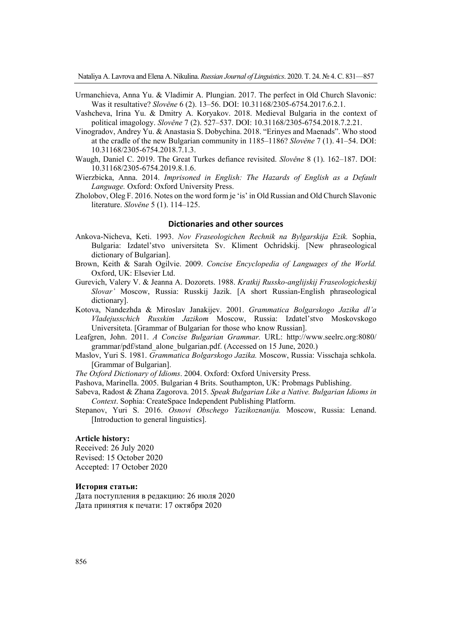- Urmanchieva, Anna Yu. & Vladimir A. Plungian. 2017. The perfect in Old Church Slavonic: Was it resultative? *Slověne* 6 (2). 13–56. DOI: 10.31168/2305-6754.2017.6.2.1.
- Vashcheva, Irina Yu. & Dmitry A. Koryakov. 2018. Medieval Bulgaria in the context of political imagology. *Slověne* 7 (2). 527–537. DOI: 10.31168/2305-6754.2018.7.2.21.
- Vinogradov, Andrey Yu. & Anastasia S. Dobychina. 2018. "Erinyes and Maenads". Who stood at the cradle of the new Bulgarian community in 1185–1186? *Slověne* 7 (1). 41–54. DOI: 10.31168/2305-6754.2018.7.1.3.
- Waugh, Daniel C. 2019. The Great Turkes defiance revisited. *Slověne* 8 (1). 162–187. DOI: 10.31168/2305-6754.2019.8.1.6.
- Wierzbicka, Anna. 2014. *Imprisoned in English: The Hazards of English as a Default Language.* Oxford: Oxford University Press.
- Zholobov, Oleg F. 2016. Notes on the word form je 'is' in Old Russian and Old Church Slavonic literature. *Slověne* 5 (1). 114–125.

## **Dictionaries and other sources**

- Ankova-Nicheva, Keti. 1993. *Nov Fraseologichen Rechnik na Bylgarskija Ezik.* Sophia, Bulgaria: Izdatel'stvo universiteta Sv. Kliment Ochridskij. [New phraseological dictionary of Bulgarian].
- Brown, Keith & Sarah Ogilvie. 2009. *Concise Encyclopedia of Languages of the World.* Oxford, UK: Elsevier Ltd.
- Gurevich, Valery V. & Jeanna A. Dozorets. 1988. *Kratkij Russko-anglijskij Fraseologicheskij Slovar'* Moscow, Russia: Russkij Jazik. [A short Russian-English phraseological dictionary].
- Kotova, Nandezhda & Miroslav Janakijev. 2001. *Grammatica Bolgarskogo Jazika dl'a Vladejusschich Russkim Jazikom* Moscow, Russia: Izdatel'stvo Moskovskogo Universiteta. [Grammar of Bulgarian for those who know Russian].
- Leafgren, John. 2011. *A Concise Bulgarian Grammar.* URL: http://www.seelrc.org:8080/ grammar/pdf/stand\_alone\_bulgarian.pdf. (Accessed on 15 June, 2020.)
- Maslov, Yuri S. 1981. *Grammatica Bolgarskogo Jazika.* Moscow, Russia: Visschaja schkola. [Grammar of Bulgarian].

*The Oxford Dictionary of Idioms*. 2004. Oxford: Oxford University Press.

- Pashova, Marinella. 2005. Bulgarian 4 Brits. Southampton, UK: Probmags Publishing.
- Sabeva, Radost & Zhana Zagorova. 2015. *Speak Bulgarian Like a Native. Bulgarian Idioms in Context*. Sophia: CreateSpace Independent Publishing Platform.
- Stepanov, Yuri S. 2016. *Osnovi Obschego Yazikoznanija.* Moscow, Russia: Lenand. [Introduction to general linguistics].

#### **Article history:**

Received: 26 July 2020 Revised: 15 October 2020 Accepted: 17 October 2020

#### **История статьи:**

Дата поступления в редакцию: 26 июля 2020 Дата принятия к печати: 17 октября 2020